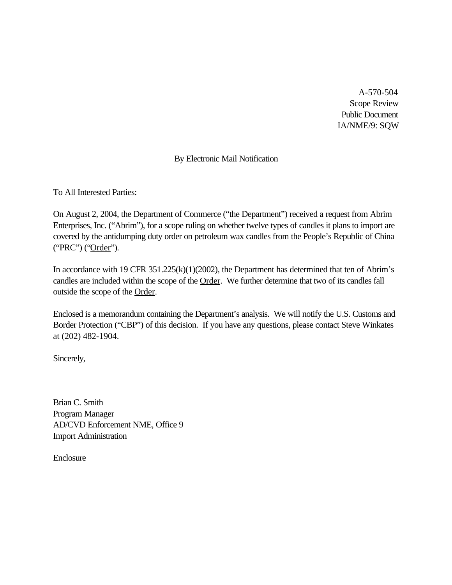A-570-504 Scope Review Public Document IA/NME/9: SQW

# By Electronic Mail Notification

To All Interested Parties:

On August 2, 2004, the Department of Commerce ("the Department") received a request from Abrim Enterprises, Inc. ("Abrim"), for a scope ruling on whether twelve types of candles it plans to import are covered by the antidumping duty order on petroleum wax candles from the People's Republic of China ("PRC") ("Order").

In accordance with 19 CFR 351.225(k)(1)(2002), the Department has determined that ten of Abrim's candles are included within the scope of the Order. We further determine that two of its candles fall outside the scope of the Order.

Enclosed is a memorandum containing the Department's analysis. We will notify the U.S. Customs and Border Protection ("CBP") of this decision. If you have any questions, please contact Steve Winkates at (202) 482-1904.

Sincerely,

Brian C. Smith Program Manager AD/CVD Enforcement NME, Office 9 Import Administration

Enclosure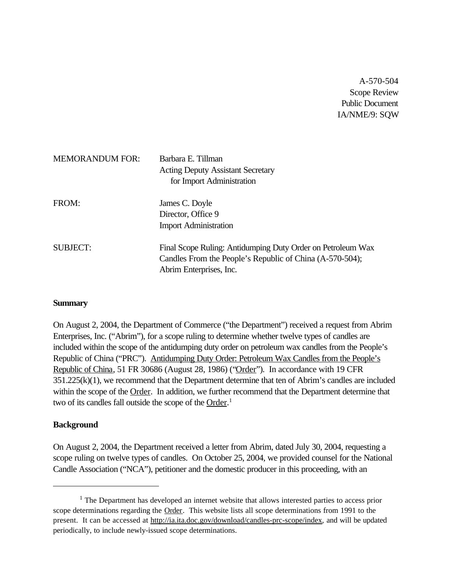A-570-504 Scope Review Public Document IA/NME/9: SQW

| <b>MEMORANDUM FOR:</b> | Barbara E. Tillman<br><b>Acting Deputy Assistant Secretary</b><br>for Import Administration                                                        |
|------------------------|----------------------------------------------------------------------------------------------------------------------------------------------------|
| FROM:                  | James C. Doyle<br>Director, Office 9<br><b>Import Administration</b>                                                                               |
| <b>SUBJECT:</b>        | Final Scope Ruling: Antidumping Duty Order on Petroleum Wax<br>Candles From the People's Republic of China (A-570-504);<br>Abrim Enterprises, Inc. |

#### **Summary**

On August 2, 2004, the Department of Commerce ("the Department") received a request from Abrim Enterprises, Inc. ("Abrim"), for a scope ruling to determine whether twelve types of candles are included within the scope of the antidumping duty order on petroleum wax candles from the People's Republic of China ("PRC"). Antidumping Duty Order: Petroleum Wax Candles from the People's Republic of China, 51 FR 30686 (August 28, 1986) ("Order"). In accordance with 19 CFR 351.225(k)(1), we recommend that the Department determine that ten of Abrim's candles are included within the scope of the Order. In addition, we further recommend that the Department determine that two of its candles fall outside the scope of the Order.<sup>1</sup>

## **Background**

On August 2, 2004, the Department received a letter from Abrim, dated July 30, 2004, requesting a scope ruling on twelve types of candles. On October 25, 2004, we provided counsel for the National Candle Association ("NCA"), petitioner and the domestic producer in this proceeding, with an

 $<sup>1</sup>$  The Department has developed an internet website that allows interested parties to access prior</sup> scope determinations regarding the Order. This website lists all scope determinations from 1991 to the present. It can be accessed at http://ia.ita.doc.gov/download/candles-prc-scope/index, and will be updated periodically, to include newly-issued scope determinations.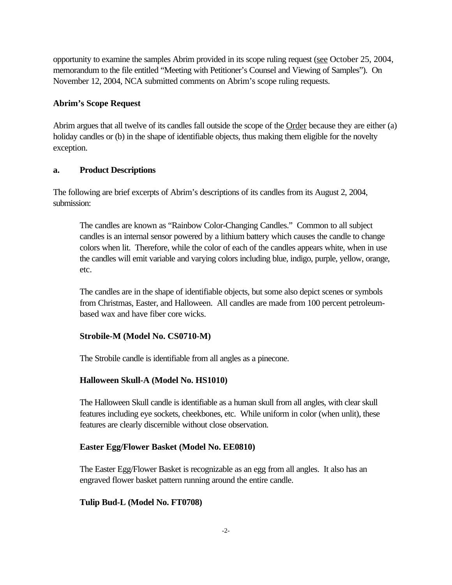opportunity to examine the samples Abrim provided in its scope ruling request (see October 25, 2004, memorandum to the file entitled "Meeting with Petitioner's Counsel and Viewing of Samples"). On November 12, 2004, NCA submitted comments on Abrim's scope ruling requests.

## **Abrim's Scope Request**

Abrim argues that all twelve of its candles fall outside the scope of the Order because they are either (a) holiday candles or (b) in the shape of identifiable objects, thus making them eligible for the novelty exception.

## **a. Product Descriptions**

The following are brief excerpts of Abrim's descriptions of its candles from its August 2, 2004, submission:

The candles are known as "Rainbow Color-Changing Candles." Common to all subject candles is an internal sensor powered by a lithium battery which causes the candle to change colors when lit. Therefore, while the color of each of the candles appears white, when in use the candles will emit variable and varying colors including blue, indigo, purple, yellow, orange, etc.

The candles are in the shape of identifiable objects, but some also depict scenes or symbols from Christmas, Easter, and Halloween. All candles are made from 100 percent petroleumbased wax and have fiber core wicks.

## **Strobile-M (Model No. CS0710-M)**

The Strobile candle is identifiable from all angles as a pinecone.

## **Halloween Skull-A (Model No. HS1010)**

The Halloween Skull candle is identifiable as a human skull from all angles, with clear skull features including eye sockets, cheekbones, etc. While uniform in color (when unlit), these features are clearly discernible without close observation.

## **Easter Egg/Flower Basket (Model No. EE0810)**

The Easter Egg/Flower Basket is recognizable as an egg from all angles. It also has an engraved flower basket pattern running around the entire candle.

## **Tulip Bud-L (Model No. FT0708)**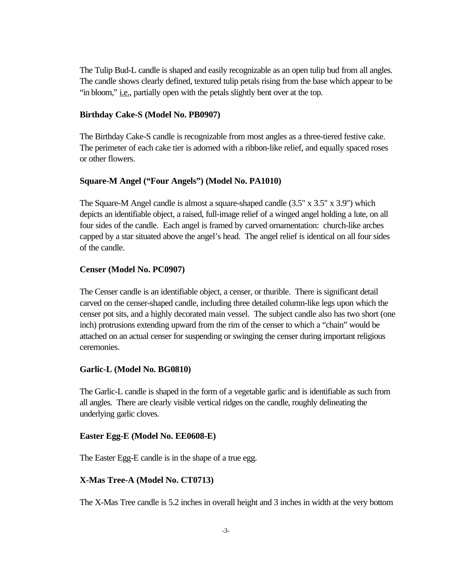The Tulip Bud-L candle is shaped and easily recognizable as an open tulip bud from all angles. The candle shows clearly defined, textured tulip petals rising from the base which appear to be "in bloom," <u>i.e.</u>, partially open with the petals slightly bent over at the top.

#### **Birthday Cake-S (Model No. PB0907)**

The Birthday Cake-S candle is recognizable from most angles as a three-tiered festive cake. The perimeter of each cake tier is adorned with a ribbon-like relief, and equally spaced roses or other flowers.

## **Square-M Angel ("Four Angels") (Model No. PA1010)**

The Square-M Angel candle is almost a square-shaped candle (3.5" x 3.5" x 3.9") which depicts an identifiable object, a raised, full-image relief of a winged angel holding a lute, on all four sides of the candle. Each angel is framed by carved ornamentation: church-like arches capped by a star situated above the angel's head. The angel relief is identical on all four sides of the candle.

## **Censer (Model No. PC0907)**

The Censer candle is an identifiable object, a censer, or thurible. There is significant detail carved on the censer-shaped candle, including three detailed column-like legs upon which the censer pot sits, and a highly decorated main vessel. The subject candle also has two short (one inch) protrusions extending upward from the rim of the censer to which a "chain" would be attached on an actual censer for suspending or swinging the censer during important religious ceremonies.

## **Garlic-L (Model No. BG0810)**

The Garlic-L candle is shaped in the form of a vegetable garlic and is identifiable as such from all angles. There are clearly visible vertical ridges on the candle, roughly delineating the underlying garlic cloves.

#### **Easter Egg-E (Model No. EE0608-E)**

The Easter Egg-E candle is in the shape of a true egg.

## **X-Mas Tree-A (Model No. CT0713)**

The X-Mas Tree candle is 5.2 inches in overall height and 3 inches in width at the very bottom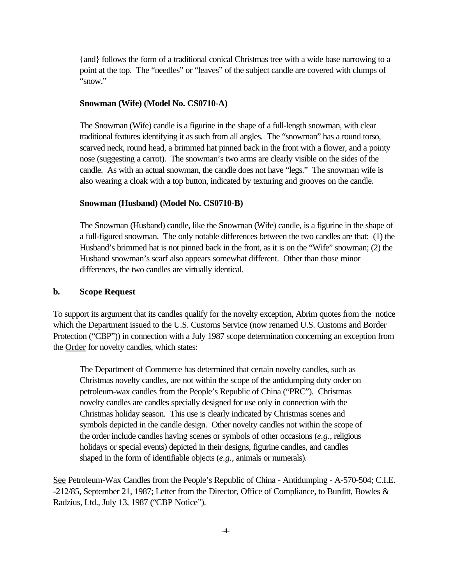{and} follows the form of a traditional conical Christmas tree with a wide base narrowing to a point at the top. The "needles" or "leaves" of the subject candle are covered with clumps of "snow."

#### **Snowman (Wife) (Model No. CS0710-A)**

The Snowman (Wife) candle is a figurine in the shape of a full-length snowman, with clear traditional features identifying it as such from all angles. The "snowman" has a round torso, scarved neck, round head, a brimmed hat pinned back in the front with a flower, and a pointy nose (suggesting a carrot). The snowman's two arms are clearly visible on the sides of the candle. As with an actual snowman, the candle does not have "legs." The snowman wife is also wearing a cloak with a top button, indicated by texturing and grooves on the candle.

#### **Snowman (Husband) (Model No. CS0710-B)**

The Snowman (Husband) candle, like the Snowman (Wife) candle, is a figurine in the shape of a full-figured snowman. The only notable differences between the two candles are that: (1) the Husband's brimmed hat is not pinned back in the front, as it is on the "Wife" snowman; (2) the Husband snowman's scarf also appears somewhat different. Other than those minor differences, the two candles are virtually identical.

## **b. Scope Request**

To support its argument that its candles qualify for the novelty exception, Abrim quotes from the notice which the Department issued to the U.S. Customs Service (now renamed U.S. Customs and Border Protection ("CBP")) in connection with a July 1987 scope determination concerning an exception from the Order for novelty candles, which states:

The Department of Commerce has determined that certain novelty candles, such as Christmas novelty candles, are not within the scope of the antidumping duty order on petroleum-wax candles from the People's Republic of China ("PRC"). Christmas novelty candles are candles specially designed for use only in connection with the Christmas holiday season. This use is clearly indicated by Christmas scenes and symbols depicted in the candle design. Other novelty candles not within the scope of the order include candles having scenes or symbols of other occasions (*e.g.*, religious holidays or special events) depicted in their designs, figurine candles, and candles shaped in the form of identifiable objects (*e.g.*, animals or numerals).

See Petroleum-Wax Candles from the People's Republic of China - Antidumping - A-570-504; C.I.E. -212/85, September 21, 1987; Letter from the Director, Office of Compliance, to Burditt, Bowles & Radzius, Ltd., July 13, 1987 ("CBP Notice").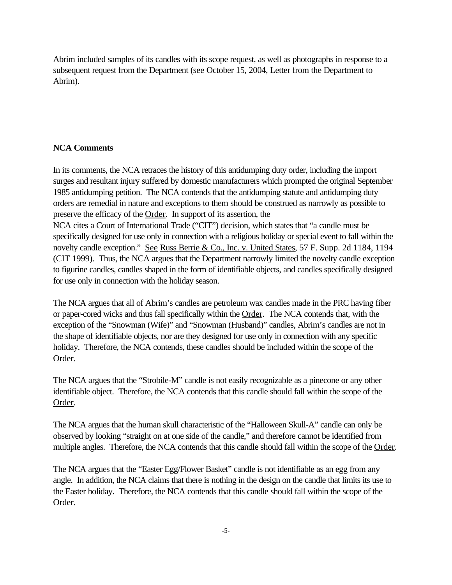Abrim included samples of its candles with its scope request, as well as photographs in response to a subsequent request from the Department (see October 15, 2004, Letter from the Department to Abrim).

## **NCA Comments**

In its comments, the NCA retraces the history of this antidumping duty order, including the import surges and resultant injury suffered by domestic manufacturers which prompted the original September 1985 antidumping petition. The NCA contends that the antidumping statute and antidumping duty orders are remedial in nature and exceptions to them should be construed as narrowly as possible to preserve the efficacy of the Order. In support of its assertion, the NCA cites a Court of International Trade ("CIT") decision, which states that "a candle must be specifically designed for use only in connection with a religious holiday or special event to fall within the novelty candle exception." See Russ Berrie & Co., Inc. v. United States, 57 F. Supp. 2d 1184, 1194 (CIT 1999). Thus, the NCA argues that the Department narrowly limited the novelty candle exception to figurine candles, candles shaped in the form of identifiable objects, and candles specifically designed for use only in connection with the holiday season.

The NCA argues that all of Abrim's candles are petroleum wax candles made in the PRC having fiber or paper-cored wicks and thus fall specifically within the Order. The NCA contends that, with the exception of the "Snowman (Wife)" and "Snowman (Husband)" candles, Abrim's candles are not in the shape of identifiable objects, nor are they designed for use only in connection with any specific holiday. Therefore, the NCA contends, these candles should be included within the scope of the Order.

The NCA argues that the "Strobile-M" candle is not easily recognizable as a pinecone or any other identifiable object. Therefore, the NCA contends that this candle should fall within the scope of the Order.

The NCA argues that the human skull characteristic of the "Halloween Skull-A" candle can only be observed by looking "straight on at one side of the candle," and therefore cannot be identified from multiple angles. Therefore, the NCA contends that this candle should fall within the scope of the Order.

The NCA argues that the "Easter Egg/Flower Basket" candle is not identifiable as an egg from any angle. In addition, the NCA claims that there is nothing in the design on the candle that limits its use to the Easter holiday. Therefore, the NCA contends that this candle should fall within the scope of the Order.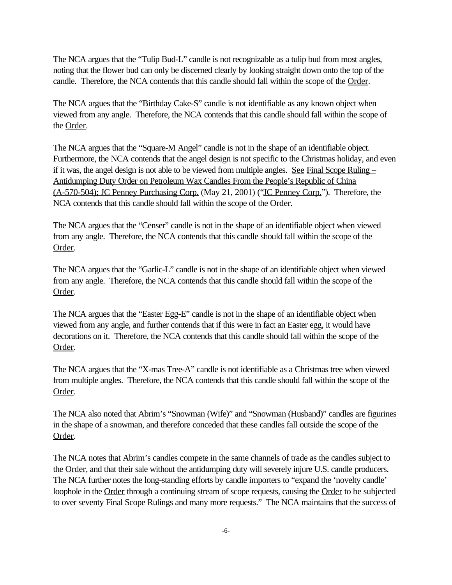The NCA argues that the "Tulip Bud-L" candle is not recognizable as a tulip bud from most angles, noting that the flower bud can only be discerned clearly by looking straight down onto the top of the candle. Therefore, the NCA contends that this candle should fall within the scope of the Order.

The NCA argues that the "Birthday Cake-S" candle is not identifiable as any known object when viewed from any angle. Therefore, the NCA contends that this candle should fall within the scope of the Order.

The NCA argues that the "Square-M Angel" candle is not in the shape of an identifiable object. Furthermore, the NCA contends that the angel design is not specific to the Christmas holiday, and even if it was, the angel design is not able to be viewed from multiple angles. See Final Scope Ruling – Antidumping Duty Order on Petroleum Wax Candles From the People's Republic of China (A-570-504); JC Penney Purchasing Corp. (May 21, 2001) ("JC Penney Corp."). Therefore, the NCA contends that this candle should fall within the scope of the Order.

The NCA argues that the "Censer" candle is not in the shape of an identifiable object when viewed from any angle. Therefore, the NCA contends that this candle should fall within the scope of the Order.

The NCA argues that the "Garlic-L" candle is not in the shape of an identifiable object when viewed from any angle. Therefore, the NCA contends that this candle should fall within the scope of the Order.

The NCA argues that the "Easter Egg-E" candle is not in the shape of an identifiable object when viewed from any angle, and further contends that if this were in fact an Easter egg, it would have decorations on it. Therefore, the NCA contends that this candle should fall within the scope of the Order.

The NCA argues that the "X-mas Tree-A" candle is not identifiable as a Christmas tree when viewed from multiple angles. Therefore, the NCA contends that this candle should fall within the scope of the Order.

The NCA also noted that Abrim's "Snowman (Wife)" and "Snowman (Husband)" candles are figurines in the shape of a snowman, and therefore conceded that these candles fall outside the scope of the Order.

The NCA notes that Abrim's candles compete in the same channels of trade as the candles subject to the Order, and that their sale without the antidumping duty will severely injure U.S. candle producers. The NCA further notes the long-standing efforts by candle importers to "expand the 'novelty candle' loophole in the Order through a continuing stream of scope requests, causing the Order to be subjected to over seventy Final Scope Rulings and many more requests." The NCA maintains that the success of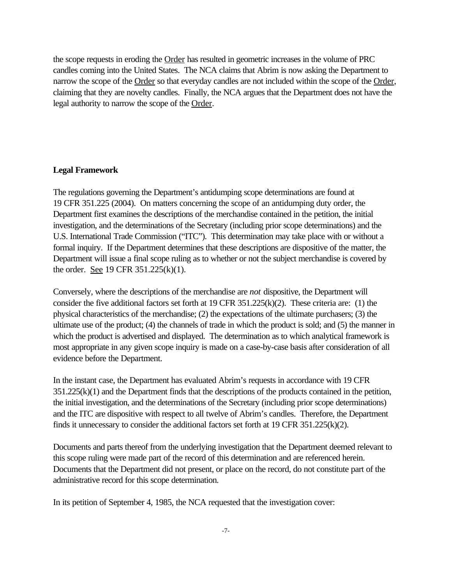the scope requests in eroding the Order has resulted in geometric increases in the volume of PRC candles coming into the United States. The NCA claims that Abrim is now asking the Department to narrow the scope of the Order so that everyday candles are not included within the scope of the Order, claiming that they are novelty candles. Finally, the NCA argues that the Department does not have the legal authority to narrow the scope of the Order.

#### **Legal Framework**

The regulations governing the Department's antidumping scope determinations are found at 19 CFR 351.225 (2004). On matters concerning the scope of an antidumping duty order, the Department first examines the descriptions of the merchandise contained in the petition, the initial investigation, and the determinations of the Secretary (including prior scope determinations) and the U.S. International Trade Commission ("ITC"). This determination may take place with or without a formal inquiry. If the Department determines that these descriptions are dispositive of the matter, the Department will issue a final scope ruling as to whether or not the subject merchandise is covered by the order. See 19 CFR 351.225(k)(1).

Conversely, where the descriptions of the merchandise are *not* dispositive, the Department will consider the five additional factors set forth at 19 CFR 351.225(k)(2). These criteria are: (1) the physical characteristics of the merchandise; (2) the expectations of the ultimate purchasers; (3) the ultimate use of the product; (4) the channels of trade in which the product is sold; and (5) the manner in which the product is advertised and displayed. The determination as to which analytical framework is most appropriate in any given scope inquiry is made on a case-by-case basis after consideration of all evidence before the Department.

In the instant case, the Department has evaluated Abrim's requests in accordance with 19 CFR 351.225(k)(1) and the Department finds that the descriptions of the products contained in the petition, the initial investigation, and the determinations of the Secretary (including prior scope determinations) and the ITC are dispositive with respect to all twelve of Abrim's candles. Therefore, the Department finds it unnecessary to consider the additional factors set forth at 19 CFR 351.225(k)(2).

Documents and parts thereof from the underlying investigation that the Department deemed relevant to this scope ruling were made part of the record of this determination and are referenced herein. Documents that the Department did not present, or place on the record, do not constitute part of the administrative record for this scope determination.

In its petition of September 4, 1985, the NCA requested that the investigation cover: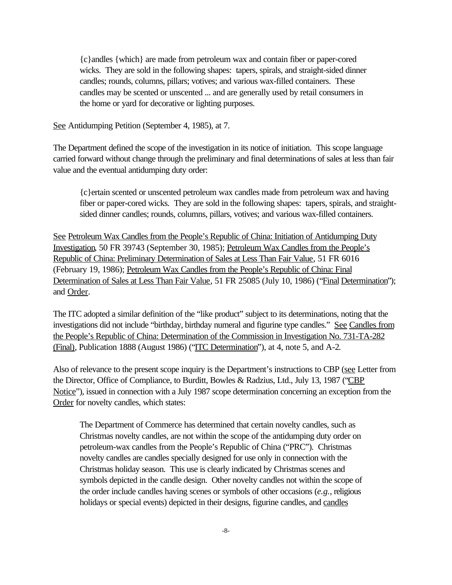{c}andles {which} are made from petroleum wax and contain fiber or paper-cored wicks. They are sold in the following shapes: tapers, spirals, and straight-sided dinner candles; rounds, columns, pillars; votives; and various wax-filled containers. These candles may be scented or unscented ... and are generally used by retail consumers in the home or yard for decorative or lighting purposes.

See Antidumping Petition (September 4, 1985), at 7.

The Department defined the scope of the investigation in its notice of initiation. This scope language carried forward without change through the preliminary and final determinations of sales at less than fair value and the eventual antidumping duty order:

{c}ertain scented or unscented petroleum wax candles made from petroleum wax and having fiber or paper-cored wicks. They are sold in the following shapes: tapers, spirals, and straightsided dinner candles; rounds, columns, pillars, votives; and various wax-filled containers.

See Petroleum Wax Candles from the People's Republic of China: Initiation of Antidumping Duty Investigation, 50 FR 39743 (September 30, 1985); Petroleum Wax Candles from the People's Republic of China: Preliminary Determination of Sales at Less Than Fair Value, 51 FR 6016 (February 19, 1986); Petroleum Wax Candles from the People's Republic of China: Final Determination of Sales at Less Than Fair Value, 51 FR 25085 (July 10, 1986) ("Final Determination"); and Order.

The ITC adopted a similar definition of the "like product" subject to its determinations, noting that the investigations did not include "birthday, birthday numeral and figurine type candles." See Candles from the People's Republic of China: Determination of the Commission in Investigation No. 731-TA-282 (Final), Publication 1888 (August 1986) ("ITC Determination"), at 4, note 5, and A-2.

Also of relevance to the present scope inquiry is the Department's instructions to CBP (see Letter from the Director, Office of Compliance, to Burditt, Bowles & Radzius, Ltd., July 13, 1987 ("CBP Notice"), issued in connection with a July 1987 scope determination concerning an exception from the Order for novelty candles, which states:

The Department of Commerce has determined that certain novelty candles, such as Christmas novelty candles, are not within the scope of the antidumping duty order on petroleum-wax candles from the People's Republic of China ("PRC"). Christmas novelty candles are candles specially designed for use only in connection with the Christmas holiday season. This use is clearly indicated by Christmas scenes and symbols depicted in the candle design. Other novelty candles not within the scope of the order include candles having scenes or symbols of other occasions (*e.g.*, religious holidays or special events) depicted in their designs, figurine candles, and candles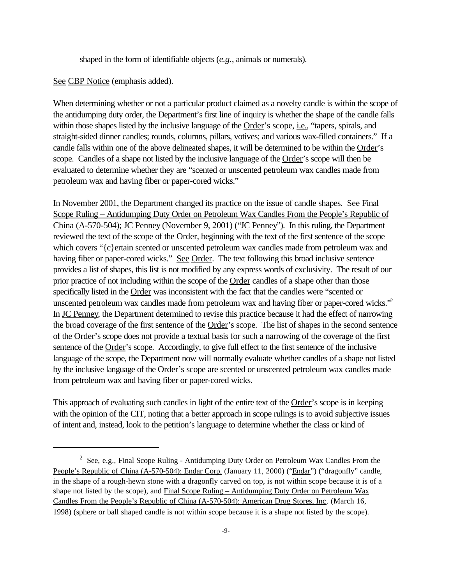shaped in the form of identifiable objects (*e.g.*, animals or numerals).

See CBP Notice (emphasis added).

When determining whether or not a particular product claimed as a novelty candle is within the scope of the antidumping duty order, the Department's first line of inquiry is whether the shape of the candle falls within those shapes listed by the inclusive language of the Order's scope, *i.e.*, "tapers, spirals, and straight-sided dinner candles; rounds, columns, pillars, votives; and various wax-filled containers." If a candle falls within one of the above delineated shapes, it will be determined to be within the Order's scope. Candles of a shape not listed by the inclusive language of the Order's scope will then be evaluated to determine whether they are "scented or unscented petroleum wax candles made from petroleum wax and having fiber or paper-cored wicks."

In November 2001, the Department changed its practice on the issue of candle shapes. See Final Scope Ruling – Antidumping Duty Order on Petroleum Wax Candles From the People's Republic of China (A-570-504); JC Penney (November 9, 2001) ("JC Penney"). In this ruling, the Department reviewed the text of the scope of the Order, beginning with the text of the first sentence of the scope which covers "{c}ertain scented or unscented petroleum wax candles made from petroleum wax and having fiber or paper-cored wicks." See Order. The text following this broad inclusive sentence provides a list of shapes, this list is not modified by any express words of exclusivity. The result of our prior practice of not including within the scope of the Order candles of a shape other than those specifically listed in the Order was inconsistent with the fact that the candles were "scented or unscented petroleum wax candles made from petroleum wax and having fiber or paper-cored wicks."<sup>2</sup> In JC Penney, the Department determined to revise this practice because it had the effect of narrowing the broad coverage of the first sentence of the Order's scope. The list of shapes in the second sentence of the Order's scope does not provide a textual basis for such a narrowing of the coverage of the first sentence of the Order's scope. Accordingly, to give full effect to the first sentence of the inclusive language of the scope, the Department now will normally evaluate whether candles of a shape not listed by the inclusive language of the Order's scope are scented or unscented petroleum wax candles made from petroleum wax and having fiber or paper-cored wicks.

This approach of evaluating such candles in light of the entire text of the Order's scope is in keeping with the opinion of the CIT, noting that a better approach in scope rulings is to avoid subjective issues of intent and, instead, look to the petition's language to determine whether the class or kind of

<sup>&</sup>lt;sup>2</sup> See, e.g., Final Scope Ruling - Antidumping Duty Order on Petroleum Wax Candles From the People's Republic of China (A-570-504); Endar Corp. (January 11, 2000) ("Endar") ("dragonfly" candle, in the shape of a rough-hewn stone with a dragonfly carved on top, is not within scope because it is of a shape not listed by the scope), and Final Scope Ruling – Antidumping Duty Order on Petroleum Wax Candles From the People's Republic of China (A-570-504); American Drug Stores, Inc. (March 16, 1998) (sphere or ball shaped candle is not within scope because it is a shape not listed by the scope).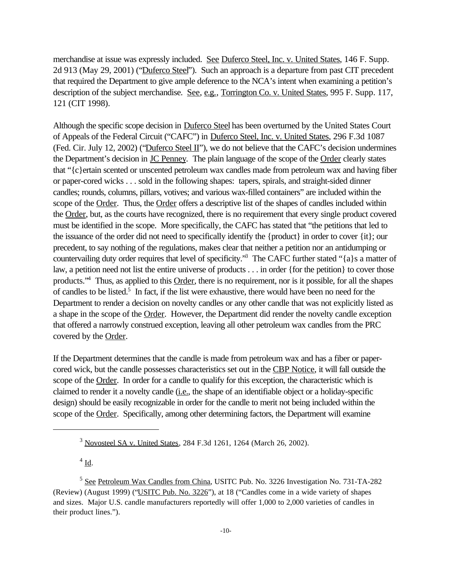merchandise at issue was expressly included. See Duferco Steel, Inc. v. United States, 146 F. Supp. 2d 913 (May 29, 2001) ("Duferco Steel"). Such an approach is a departure from past CIT precedent that required the Department to give ample deference to the NCA's intent when examining a petition's description of the subject merchandise. See, e.g., Torrington Co. v. United States, 995 F. Supp. 117, 121 (CIT 1998).

Although the specific scope decision in Duferco Steel has been overturned by the United States Court of Appeals of the Federal Circuit ("CAFC") in Duferco Steel, Inc. v. United States, 296 F.3d 1087 (Fed. Cir. July 12, 2002) ("Duferco Steel II"), we do not believe that the CAFC's decision undermines the Department's decision in JC Penney. The plain language of the scope of the Order clearly states that "{c}ertain scented or unscented petroleum wax candles made from petroleum wax and having fiber or paper-cored wicks . . . sold in the following shapes: tapers, spirals, and straight-sided dinner candles; rounds, columns, pillars, votives; and various wax-filled containers" are included within the scope of the Order. Thus, the Order offers a descriptive list of the shapes of candles included within the Order, but, as the courts have recognized, there is no requirement that every single product covered must be identified in the scope. More specifically, the CAFC has stated that "the petitions that led to the issuance of the order did not need to specifically identify the {product} in order to cover {it}; our precedent, to say nothing of the regulations, makes clear that neither a petition nor an antidumping or countervailing duty order requires that level of specificity."<sup>3</sup> The CAFC further stated "{a}s a matter of law, a petition need not list the entire universe of products . . . in order {for the petition} to cover those products.<sup>"4</sup> Thus, as applied to this Order, there is no requirement, nor is it possible, for all the shapes of candles to be listed.<sup>5</sup> In fact, if the list were exhaustive, there would have been no need for the Department to render a decision on novelty candles or any other candle that was not explicitly listed as a shape in the scope of the Order. However, the Department did render the novelty candle exception that offered a narrowly construed exception, leaving all other petroleum wax candles from the PRC covered by the Order.

If the Department determines that the candle is made from petroleum wax and has a fiber or papercored wick, but the candle possesses characteristics set out in the CBP Notice, it will fall outside the scope of the Order. In order for a candle to qualify for this exception, the characteristic which is claimed to render it a novelty candle (i.e., the shape of an identifiable object or a holiday-specific design) should be easily recognizable in order for the candle to merit not being included within the scope of the Order. Specifically, among other determining factors, the Department will examine

 $4 \underline{\text{Id}}$ .

<sup>3</sup> Novosteel SA v. United States, 284 F.3d 1261, 1264 (March 26, 2002).

<sup>&</sup>lt;sup>5</sup> See Petroleum Wax Candles from China, USITC Pub. No. 3226 Investigation No. 731-TA-282 (Review) (August 1999) ("USITC Pub. No. 3226"), at 18 ("Candles come in a wide variety of shapes and sizes. Major U.S. candle manufacturers reportedly will offer 1,000 to 2,000 varieties of candles in their product lines.").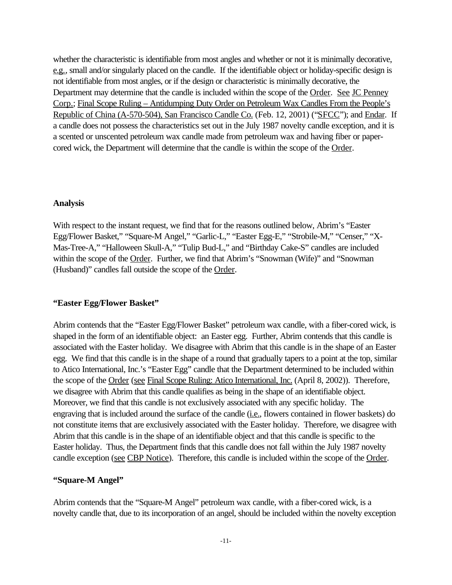whether the characteristic is identifiable from most angles and whether or not it is minimally decorative, e.g., small and/or singularly placed on the candle. If the identifiable object or holiday-specific design is not identifiable from most angles, or if the design or characteristic is minimally decorative, the Department may determine that the candle is included within the scope of the <u>Order. See JC Penney</u> Corp.; Final Scope Ruling – Antidumping Duty Order on Petroleum Wax Candles From the People's Republic of China (A-570-504), San Francisco Candle Co. (Feb. 12, 2001) ("SFCC"); and Endar. If a candle does not possess the characteristics set out in the July 1987 novelty candle exception, and it is a scented or unscented petroleum wax candle made from petroleum wax and having fiber or papercored wick, the Department will determine that the candle is within the scope of the Order.

### **Analysis**

With respect to the instant request, we find that for the reasons outlined below, Abrim's "Easter Egg/Flower Basket," "Square-M Angel," "Garlic-L," "Easter Egg-E," "Strobile-M," "Censer," "X-Mas-Tree-A," "Halloween Skull-A," "Tulip Bud-L," and "Birthday Cake-S" candles are included within the scope of the Order. Further, we find that Abrim's "Snowman (Wife)" and "Snowman (Husband)" candles fall outside the scope of the Order.

#### **"Easter Egg/Flower Basket"**

Abrim contends that the "Easter Egg/Flower Basket" petroleum wax candle, with a fiber-cored wick, is shaped in the form of an identifiable object: an Easter egg. Further, Abrim contends that this candle is associated with the Easter holiday. We disagree with Abrim that this candle is in the shape of an Easter egg. We find that this candle is in the shape of a round that gradually tapers to a point at the top, similar to Atico International, Inc.'s "Easter Egg" candle that the Department determined to be included within the scope of the Order (see Final Scope Ruling: Atico International, Inc. (April 8, 2002)). Therefore, we disagree with Abrim that this candle qualifies as being in the shape of an identifiable object. Moreover, we find that this candle is not exclusively associated with any specific holiday. The engraving that is included around the surface of the candle (*i.e.*, flowers contained in flower baskets) do not constitute items that are exclusively associated with the Easter holiday. Therefore, we disagree with Abrim that this candle is in the shape of an identifiable object and that this candle is specific to the Easter holiday. Thus, the Department finds that this candle does not fall within the July 1987 novelty candle exception (see CBP Notice). Therefore, this candle is included within the scope of the Order.

#### **"Square-M Angel"**

Abrim contends that the "Square-M Angel" petroleum wax candle, with a fiber-cored wick, is a novelty candle that, due to its incorporation of an angel, should be included within the novelty exception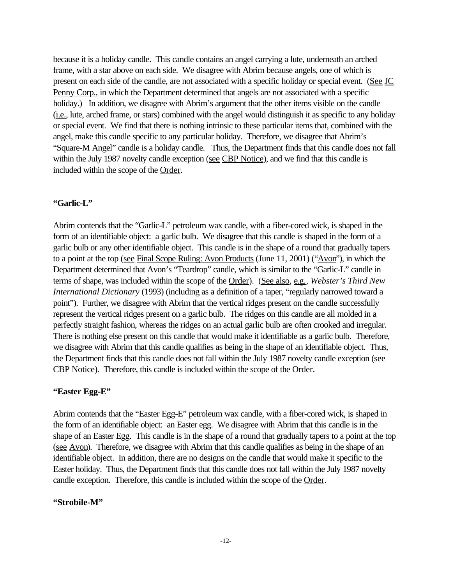because it is a holiday candle. This candle contains an angel carrying a lute, underneath an arched frame, with a star above on each side. We disagree with Abrim because angels, one of which is present on each side of the candle, are not associated with a specific holiday or special event. (See JC Penny Corp., in which the Department determined that angels are not associated with a specific holiday.) In addition, we disagree with Abrim's argument that the other items visible on the candle (i.e., lute, arched frame, or stars) combined with the angel would distinguish it as specific to any holiday or special event. We find that there is nothing intrinsic to these particular items that, combined with the angel, make this candle specific to any particular holiday. Therefore, we disagree that Abrim's "Square-M Angel" candle is a holiday candle. Thus, the Department finds that this candle does not fall within the July 1987 novelty candle exception (see CBP Notice), and we find that this candle is included within the scope of the Order.

#### **"Garlic-L"**

Abrim contends that the "Garlic-L" petroleum wax candle, with a fiber-cored wick, is shaped in the form of an identifiable object: a garlic bulb. We disagree that this candle is shaped in the form of a garlic bulb or any other identifiable object. This candle is in the shape of a round that gradually tapers to a point at the top (see Final Scope Ruling: Avon Products (June 11, 2001) ("Avon"), in which the Department determined that Avon's "Teardrop" candle, which is similar to the "Garlic-L" candle in terms of shape, was included within the scope of the Order). (See also, e.g., *Webster's Third New International Dictionary* (1993) (including as a definition of a taper, "regularly narrowed toward a point"). Further, we disagree with Abrim that the vertical ridges present on the candle successfully represent the vertical ridges present on a garlic bulb. The ridges on this candle are all molded in a perfectly straight fashion, whereas the ridges on an actual garlic bulb are often crooked and irregular. There is nothing else present on this candle that would make it identifiable as a garlic bulb. Therefore, we disagree with Abrim that this candle qualifies as being in the shape of an identifiable object. Thus, the Department finds that this candle does not fall within the July 1987 novelty candle exception (see CBP Notice). Therefore, this candle is included within the scope of the Order.

#### **"Easter Egg-E"**

Abrim contends that the "Easter Egg-E" petroleum wax candle, with a fiber-cored wick, is shaped in the form of an identifiable object: an Easter egg. We disagree with Abrim that this candle is in the shape of an Easter Egg. This candle is in the shape of a round that gradually tapers to a point at the top (see Avon). Therefore, we disagree with Abrim that this candle qualifies as being in the shape of an identifiable object. In addition, there are no designs on the candle that would make it specific to the Easter holiday. Thus, the Department finds that this candle does not fall within the July 1987 novelty candle exception. Therefore, this candle is included within the scope of the Order.

#### **"Strobile-M"**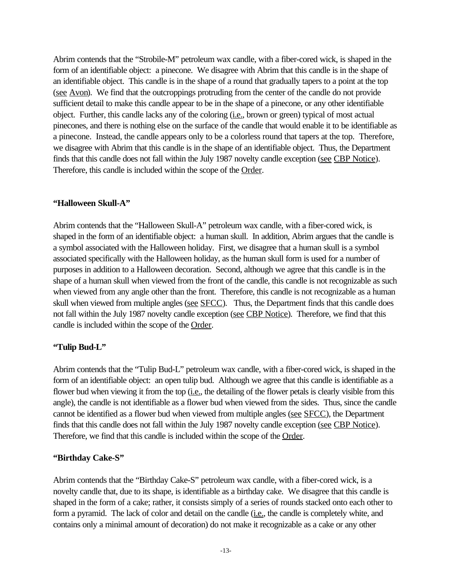Abrim contends that the "Strobile-M" petroleum wax candle, with a fiber-cored wick, is shaped in the form of an identifiable object: a pinecone. We disagree with Abrim that this candle is in the shape of an identifiable object. This candle is in the shape of a round that gradually tapers to a point at the top (see Avon). We find that the outcroppings protruding from the center of the candle do not provide sufficient detail to make this candle appear to be in the shape of a pinecone, or any other identifiable object. Further, this candle lacks any of the coloring (i.e., brown or green) typical of most actual pinecones, and there is nothing else on the surface of the candle that would enable it to be identifiable as a pinecone. Instead, the candle appears only to be a colorless round that tapers at the top. Therefore, we disagree with Abrim that this candle is in the shape of an identifiable object. Thus, the Department finds that this candle does not fall within the July 1987 novelty candle exception (see CBP Notice). Therefore, this candle is included within the scope of the Order.

## **"Halloween Skull-A"**

Abrim contends that the "Halloween Skull-A" petroleum wax candle, with a fiber-cored wick, is shaped in the form of an identifiable object: a human skull. In addition, Abrim argues that the candle is a symbol associated with the Halloween holiday. First, we disagree that a human skull is a symbol associated specifically with the Halloween holiday, as the human skull form is used for a number of purposes in addition to a Halloween decoration. Second, although we agree that this candle is in the shape of a human skull when viewed from the front of the candle, this candle is not recognizable as such when viewed from any angle other than the front. Therefore, this candle is not recognizable as a human skull when viewed from multiple angles (see SFCC). Thus, the Department finds that this candle does not fall within the July 1987 novelty candle exception (see CBP Notice). Therefore, we find that this candle is included within the scope of the Order.

# **"Tulip Bud-L"**

Abrim contends that the "Tulip Bud-L" petroleum wax candle, with a fiber-cored wick, is shaped in the form of an identifiable object: an open tulip bud. Although we agree that this candle is identifiable as a flower bud when viewing it from the top (i.e., the detailing of the flower petals is clearly visible from this angle), the candle is not identifiable as a flower bud when viewed from the sides. Thus, since the candle cannot be identified as a flower bud when viewed from multiple angles (see SFCC), the Department finds that this candle does not fall within the July 1987 novelty candle exception (see CBP Notice). Therefore, we find that this candle is included within the scope of the Order.

## **"Birthday Cake-S"**

Abrim contends that the "Birthday Cake-S" petroleum wax candle, with a fiber-cored wick, is a novelty candle that, due to its shape, is identifiable as a birthday cake. We disagree that this candle is shaped in the form of a cake; rather, it consists simply of a series of rounds stacked onto each other to form a pyramid. The lack of color and detail on the candle (*i.e.*, the candle is completely white, and contains only a minimal amount of decoration) do not make it recognizable as a cake or any other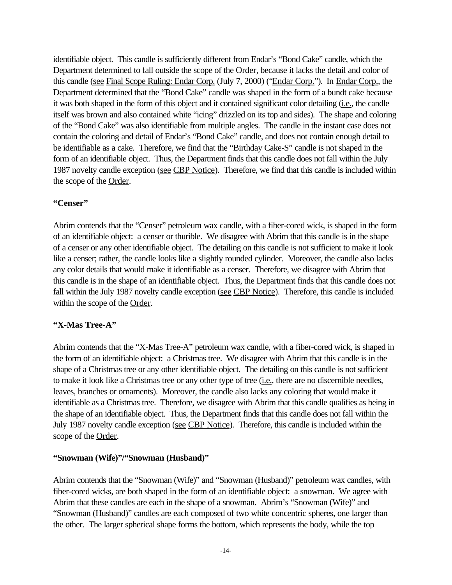identifiable object. This candle is sufficiently different from Endar's "Bond Cake" candle, which the Department determined to fall outside the scope of the Order, because it lacks the detail and color of this candle (see Final Scope Ruling: Endar Corp. (July 7, 2000) ("Endar Corp."). In Endar Corp., the Department determined that the "Bond Cake" candle was shaped in the form of a bundt cake because it was both shaped in the form of this object and it contained significant color detailing (i.e., the candle itself was brown and also contained white "icing" drizzled on its top and sides). The shape and coloring of the "Bond Cake" was also identifiable from multiple angles. The candle in the instant case does not contain the coloring and detail of Endar's "Bond Cake" candle, and does not contain enough detail to be identifiable as a cake. Therefore, we find that the "Birthday Cake-S" candle is not shaped in the form of an identifiable object. Thus, the Department finds that this candle does not fall within the July 1987 novelty candle exception (see CBP Notice). Therefore, we find that this candle is included within the scope of the Order.

# **"Censer"**

Abrim contends that the "Censer" petroleum wax candle, with a fiber-cored wick, is shaped in the form of an identifiable object: a censer or thurible. We disagree with Abrim that this candle is in the shape of a censer or any other identifiable object. The detailing on this candle is not sufficient to make it look like a censer; rather, the candle looks like a slightly rounded cylinder. Moreover, the candle also lacks any color details that would make it identifiable as a censer. Therefore, we disagree with Abrim that this candle is in the shape of an identifiable object. Thus, the Department finds that this candle does not fall within the July 1987 novelty candle exception (see CBP Notice). Therefore, this candle is included within the scope of the Order.

# **"X-Mas Tree-A"**

Abrim contends that the "X-Mas Tree-A" petroleum wax candle, with a fiber-cored wick, is shaped in the form of an identifiable object: a Christmas tree. We disagree with Abrim that this candle is in the shape of a Christmas tree or any other identifiable object. The detailing on this candle is not sufficient to make it look like a Christmas tree or any other type of tree (*i.e.*, there are no discernible needles, leaves, branches or ornaments). Moreover, the candle also lacks any coloring that would make it identifiable as a Christmas tree. Therefore, we disagree with Abrim that this candle qualifies as being in the shape of an identifiable object. Thus, the Department finds that this candle does not fall within the July 1987 novelty candle exception (see CBP Notice). Therefore, this candle is included within the scope of the Order.

# **"Snowman (Wife)"/"Snowman (Husband)"**

Abrim contends that the "Snowman (Wife)" and "Snowman (Husband)" petroleum wax candles, with fiber-cored wicks, are both shaped in the form of an identifiable object: a snowman. We agree with Abrim that these candles are each in the shape of a snowman. Abrim's "Snowman (Wife)" and "Snowman (Husband)" candles are each composed of two white concentric spheres, one larger than the other. The larger spherical shape forms the bottom, which represents the body, while the top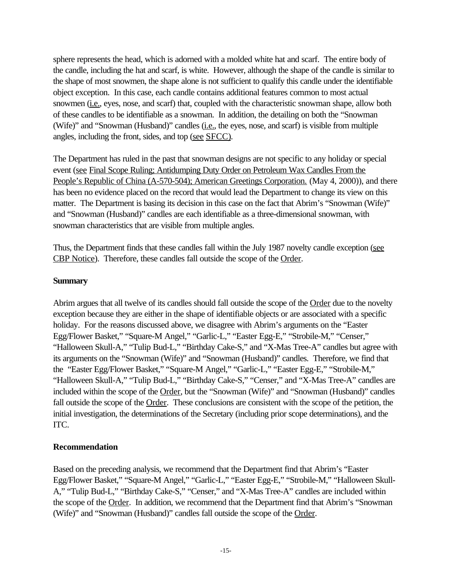sphere represents the head, which is adorned with a molded white hat and scarf. The entire body of the candle, including the hat and scarf, is white. However, although the shape of the candle is similar to the shape of most snowmen, the shape alone is not sufficient to qualify this candle under the identifiable object exception. In this case, each candle contains additional features common to most actual snowmen (i.e., eyes, nose, and scarf) that, coupled with the characteristic snowman shape, allow both of these candles to be identifiable as a snowman. In addition, the detailing on both the "Snowman (Wife)" and "Snowman (Husband)" candles (*i.e.*, the eyes, nose, and scarf) is visible from multiple angles, including the front, sides, and top (see SFCC).

The Department has ruled in the past that snowman designs are not specific to any holiday or special event (see Final Scope Ruling; Antidumping Duty Order on Petroleum Wax Candles From the People's Republic of China (A-570-504); American Greetings Corporation. (May 4, 2000)), and there has been no evidence placed on the record that would lead the Department to change its view on this matter. The Department is basing its decision in this case on the fact that Abrim's "Snowman (Wife)" and "Snowman (Husband)" candles are each identifiable as a three-dimensional snowman, with snowman characteristics that are visible from multiple angles.

Thus, the Department finds that these candles fall within the July 1987 novelty candle exception (see CBP Notice). Therefore, these candles fall outside the scope of the Order.

## **Summary**

Abrim argues that all twelve of its candles should fall outside the scope of the Order due to the novelty exception because they are either in the shape of identifiable objects or are associated with a specific holiday. For the reasons discussed above, we disagree with Abrim's arguments on the "Easter Egg/Flower Basket," "Square-M Angel," "Garlic-L," "Easter Egg-E," "Strobile-M," "Censer," "Halloween Skull-A," "Tulip Bud-L," "Birthday Cake-S," and "X-Mas Tree-A" candles but agree with its arguments on the "Snowman (Wife)" and "Snowman (Husband)" candles. Therefore, we find that the "Easter Egg/Flower Basket," "Square-M Angel," "Garlic-L," "Easter Egg-E," "Strobile-M," "Halloween Skull-A," "Tulip Bud-L," "Birthday Cake-S," "Censer," and "X-Mas Tree-A" candles are included within the scope of the Order, but the "Snowman (Wife)" and "Snowman (Husband)" candles fall outside the scope of the Order. These conclusions are consistent with the scope of the petition, the initial investigation, the determinations of the Secretary (including prior scope determinations), and the ITC.

## **Recommendation**

Based on the preceding analysis, we recommend that the Department find that Abrim's "Easter Egg/Flower Basket," "Square-M Angel," "Garlic-L," "Easter Egg-E," "Strobile-M," "Halloween Skull-A," "Tulip Bud-L," "Birthday Cake-S," "Censer," and "X-Mas Tree-A" candles are included within the scope of the Order. In addition, we recommend that the Department find that Abrim's "Snowman (Wife)" and "Snowman (Husband)" candles fall outside the scope of the Order.